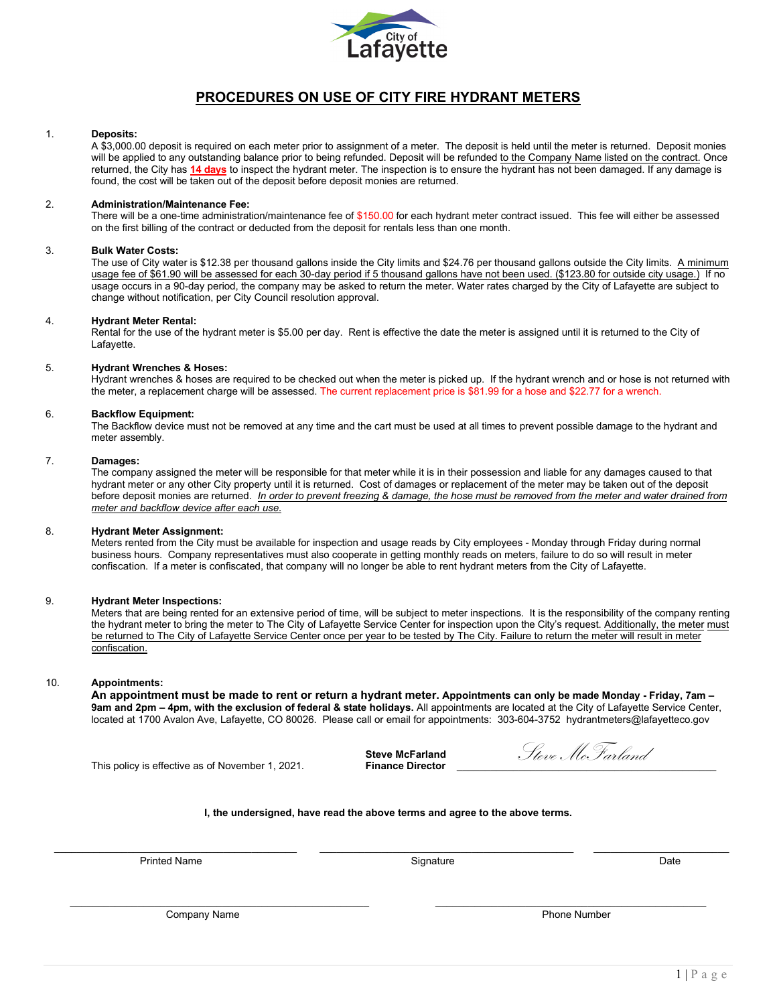

## **PROCEDURES ON USE OF CITY FIRE HYDRANT METERS**

## 1. **Deposits:**

A \$3,000.00 deposit is required on each meter prior to assignment of a meter. The deposit is held until the meter is returned. Deposit monies will be applied to any outstanding balance prior to being refunded. Deposit will be refunded to the Company Name listed on the contract. Once returned, the City has **14 days** to inspect the hydrant meter. The inspection is to ensure the hydrant has not been damaged. If any damage is found, the cost will be taken out of the deposit before deposit monies are returned.

## 2. **Administration/Maintenance Fee:**

There will be a one-time administration/maintenance fee of \$150.00 for each hydrant meter contract issued. This fee will either be assessed on the first billing of the contract or deducted from the deposit for rentals less than one month.

#### 3. **Bulk Water Costs:**

The use of City water is \$12.38 per thousand gallons inside the City limits and \$24.76 per thousand gallons outside the City limits. A minimum usage fee of \$61.90 will be assessed for each 30-day period if 5 thousand gallons have not been used. (\$123.80 for outside city usage.) If no usage occurs in a 90-day period, the company may be asked to return the meter. Water rates charged by the City of Lafayette are subject to change without notification, per City Council resolution approval.

## 4. **Hydrant Meter Rental:**

Rental for the use of the hydrant meter is \$5.00 per day. Rent is effective the date the meter is assigned until it is returned to the City of Lafayette.

## 5. **Hydrant Wrenches & Hoses:**

Hydrant wrenches & hoses are required to be checked out when the meter is picked up. If the hydrant wrench and or hose is not returned with the meter, a replacement charge will be assessed. The current replacement price is \$81.99 for a hose and \$22.77 for a wrench.

## 6. **Backflow Equipment:**

The Backflow device must not be removed at any time and the cart must be used at all times to prevent possible damage to the hydrant and meter assembly.

## 7. **Damages:**

The company assigned the meter will be responsible for that meter while it is in their possession and liable for any damages caused to that hydrant meter or any other City property until it is returned. Cost of damages or replacement of the meter may be taken out of the deposit before deposit monies are returned. *In order to prevent freezing & damage, the hose must be removed from the meter and water drained from meter and backflow device after each use.*

## 8. **Hydrant Meter Assignment:**

Meters rented from the City must be available for inspection and usage reads by City employees - Monday through Friday during normal business hours. Company representatives must also cooperate in getting monthly reads on meters, failure to do so will result in meter confiscation. If a meter is confiscated, that company will no longer be able to rent hydrant meters from the City of Lafayette.

## 9. **Hydrant Meter Inspections:**

Meters that are being rented for an extensive period of time, will be subject to meter inspections. It is the responsibility of the company renting the hydrant meter to bring the meter to The City of Lafayette Service Center for inspection upon the City's request. Additionally, the meter must be returned to The City of Lafayette Service Center once per year to be tested by The City. Failure to return the meter will result in meter confiscation.

## 10. **Appointments:**

**An appointment must be made to rent or return a hydrant meter. Appointments can only be made Monday - Friday, 7am – 9am and 2pm – 4pm, with the exclusion of federal & state holidays.** All appointments are located at the City of Lafayette Service Center, located at 1700 Avalon Ave, Lafayette, CO 80026. Please call or email for appointments: 303-604-3752 hydrantmeters@lafayetteco.gov

This policy is effective as of November 1, 2021.

**Steve McFarland<br>Finance Director** 

Steve McFarland

## **I, the undersigned, have read the above terms and agree to the above terms.**

\_\_\_\_\_\_\_\_\_\_\_\_\_\_\_\_\_\_\_\_\_\_\_\_\_\_\_\_\_\_\_\_\_\_\_\_\_\_\_\_\_\_\_ \_\_\_\_\_\_\_\_\_\_\_\_\_\_\_\_\_\_\_\_\_\_\_\_\_\_\_\_\_\_\_\_\_\_\_\_\_\_\_\_\_\_\_\_\_ \_\_\_\_\_\_\_\_\_\_\_\_\_\_\_\_\_\_\_\_\_\_\_\_

\_\_\_\_\_\_\_\_\_\_\_\_\_\_\_\_\_\_\_\_\_\_\_\_\_\_\_\_\_\_\_\_\_\_\_\_\_\_\_\_\_\_\_\_\_\_\_\_\_\_\_\_\_ \_\_\_\_\_\_\_\_\_\_\_\_\_\_\_\_\_\_\_\_\_\_\_\_\_\_\_\_\_\_\_\_\_\_\_\_\_\_\_\_\_\_\_\_\_\_\_\_

Printed Name Signature Date

Company Name **Phone Number** Phone Number 2014